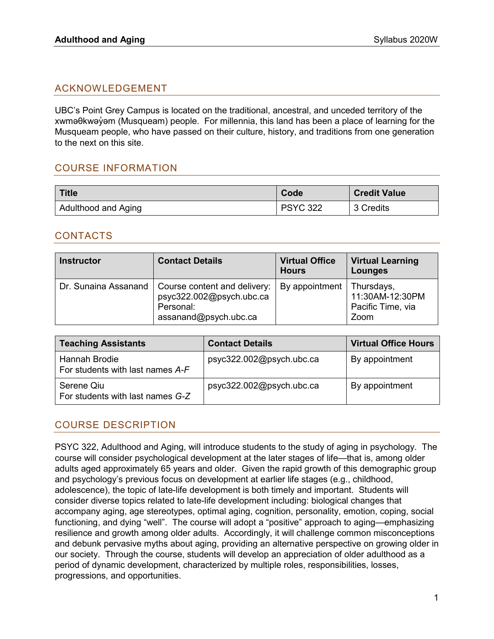# ACKNOWLEDGEMENT

UBC's Point Grey Campus is located on the traditional, ancestral, and unceded territory of the xwməθkwəν̓ əm (Musqueam) people. For millennia, this land has been a place of learning for the Musqueam people, who have passed on their culture, history, and traditions from one generation to the next on this site.

# COURSE INFORMATION

| Title               | Code            | <b>Credit Value</b> |
|---------------------|-----------------|---------------------|
| Adulthood and Aging | <b>PSYC 322</b> | 3 Credits           |

### CONTACTS

| <b>Instructor</b>    | <b>Contact Details</b>                                                                         | <b>Virtual Office</b><br><b>Hours</b> | <b>Virtual Learning</b><br>Lounges           |
|----------------------|------------------------------------------------------------------------------------------------|---------------------------------------|----------------------------------------------|
| Dr. Sunaina Assanand | Course content and delivery:<br>psyc322.002@psych.ubc.ca<br>Personal:<br>assanand@psych.ubc.ca | By appointment   Thursdays,           | 11:30AM-12:30PM<br>Pacific Time, via<br>Zoom |

| <b>Teaching Assistants</b>                               | <b>Contact Details</b>   | <b>Virtual Office Hours</b> |
|----------------------------------------------------------|--------------------------|-----------------------------|
| <b>Hannah Brodie</b><br>For students with last names A-F | psyc322.002@psych.ubc.ca | By appointment              |
| Serene Qiu<br>For students with last names G-Z           | psyc322.002@psych.ubc.ca | By appointment              |

### COURSE DESCRIPTION

PSYC 322, Adulthood and Aging, will introduce students to the study of aging in psychology. The course will consider psychological development at the later stages of life—that is, among older adults aged approximately 65 years and older. Given the rapid growth of this demographic group and psychology's previous focus on development at earlier life stages (e.g., childhood, adolescence), the topic of late-life development is both timely and important. Students will consider diverse topics related to late-life development including: biological changes that accompany aging, age stereotypes, optimal aging, cognition, personality, emotion, coping, social functioning, and dying "well". The course will adopt a "positive" approach to aging—emphasizing resilience and growth among older adults. Accordingly, it will challenge common misconceptions and debunk pervasive myths about aging, providing an alternative perspective on growing older in our society. Through the course, students will develop an appreciation of older adulthood as a period of dynamic development, characterized by multiple roles, responsibilities, losses, progressions, and opportunities.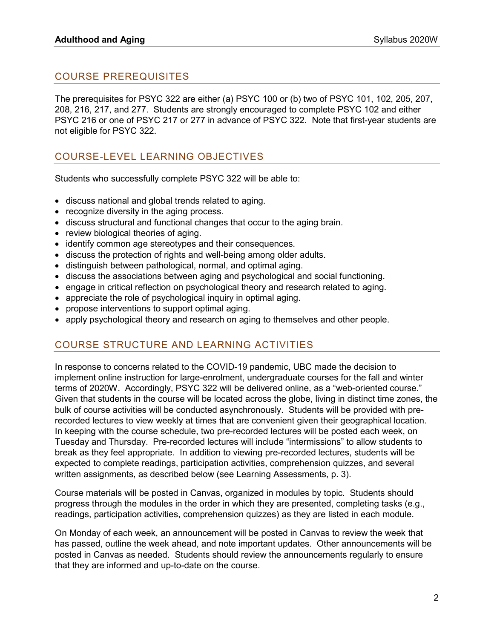# COURSE PREREQUISITES

The prerequisites for PSYC 322 are either (a) PSYC 100 or (b) two of [PSYC 101,](https://courses.students.ubc.ca/cs/main?pname=subjarea&tname=subjareas&req=3&dept=PSYC&course=101) 102, [205,](https://courses.students.ubc.ca/cs/main?pname=subjarea&tname=subjareas&req=3&dept=PSYC&course=205) 207, 208, [216,](https://courses.students.ubc.ca/cs/main?pname=subjarea&tname=subjareas&req=3&dept=PSYC&course=216) 217, and 277. Students are strongly encouraged to complete PSYC 102 and either PSYC 216 or one of PSYC 217 or 277 in advance of PSYC 322. Note that first-year students are not eligible for PSYC 322.

# COURSE-LEVEL LEARNING OBJECTIVES

Students who successfully complete PSYC 322 will be able to:

- discuss national and global trends related to aging.
- recognize diversity in the aging process.
- discuss structural and functional changes that occur to the aging brain.
- review biological theories of aging.
- identify common age stereotypes and their consequences.
- discuss the protection of rights and well-being among older adults.
- distinguish between pathological, normal, and optimal aging.
- discuss the associations between aging and psychological and social functioning.
- engage in critical reflection on psychological theory and research related to aging.
- appreciate the role of psychological inquiry in optimal aging.
- propose interventions to support optimal aging.
- apply psychological theory and research on aging to themselves and other people.

### COURSE STRUCTURE AND LEARNING ACTIVITIES

In response to concerns related to the COVID-19 pandemic, UBC made the decision to implement online instruction for large-enrolment, undergraduate courses for the fall and winter terms of 2020W. Accordingly, PSYC 322 will be delivered online, as a "web-oriented course." Given that students in the course will be located across the globe, living in distinct time zones, the bulk of course activities will be conducted asynchronously. Students will be provided with prerecorded lectures to view weekly at times that are convenient given their geographical location. In keeping with the course schedule, two pre-recorded lectures will be posted each week, on Tuesday and Thursday. Pre-recorded lectures will include "intermissions" to allow students to break as they feel appropriate. In addition to viewing pre-recorded lectures, students will be expected to complete readings, participation activities, comprehension quizzes, and several written assignments, as described below (see Learning Assessments, p. 3).

Course materials will be posted in Canvas, organized in modules by topic. Students should progress through the modules in the order in which they are presented, completing tasks (e.g., readings, participation activities, comprehension quizzes) as they are listed in each module.

On Monday of each week, an announcement will be posted in Canvas to review the week that has passed, outline the week ahead, and note important updates. Other announcements will be posted in Canvas as needed. Students should review the announcements regularly to ensure that they are informed and up-to-date on the course.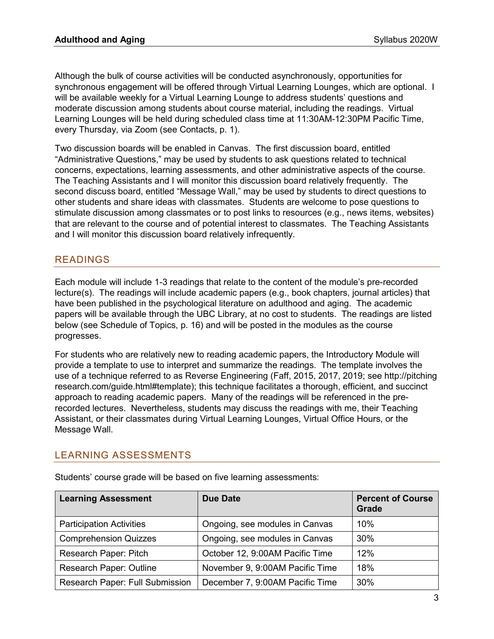Although the bulk of course activities will be conducted asynchronously, opportunities for synchronous engagement will be offered through Virtual Learning Lounges, which are optional. I will be available weekly for a Virtual Learning Lounge to address students' questions and moderate discussion among students about course material, including the readings. Virtual Learning Lounges will be held during scheduled class time at 11:30AM-12:30PM Pacific Time, every Thursday, via Zoom (see Contacts, p. 1).

Two discussion boards will be enabled in Canvas. The first discussion board, entitled "Administrative Questions," may be used by students to ask questions related to technical concerns, expectations, learning assessments, and other administrative aspects of the course. The Teaching Assistants and I will monitor this discussion board relatively frequently. The second discuss board, entitled "Message Wall," may be used by students to direct questions to other students and share ideas with classmates. Students are welcome to pose questions to stimulate discussion among classmates or to post links to resources (e.g., news items, websites) that are relevant to the course and of potential interest to classmates. The Teaching Assistants and I will monitor this discussion board relatively infrequently.

# READINGS

Each module will include 1-3 readings that relate to the content of the module's pre-recorded lecture(s). The readings will include academic papers (e.g., book chapters, journal articles) that have been published in the psychological literature on adulthood and aging. The academic papers will be available through the UBC Library, at no cost to students. The readings are listed below (see Schedule of Topics, p. 16) and will be posted in the modules as the course progresses.

For students who are relatively new to reading academic papers, the Introductory Module will provide a template to use to interpret and summarize the readings. The template involves the use of a technique referred to as Reverse Engineering (Faff, 2015, 2017, 2019; see http://pitching research.com/guide.html#template); this technique facilitates a thorough, efficient, and succinct approach to reading academic papers. Many of the readings will be referenced in the prerecorded lectures. Nevertheless, students may discuss the readings with me, their Teaching Assistant, or their classmates during Virtual Learning Lounges, Virtual Office Hours, or the Message Wall.

### LEARNING ASSESSMENTS

| <b>Learning Assessment</b>      | Due Date                        | <b>Percent of Course</b><br><b>Grade</b> |
|---------------------------------|---------------------------------|------------------------------------------|
| <b>Participation Activities</b> | Ongoing, see modules in Canvas  | 10%                                      |
| <b>Comprehension Quizzes</b>    | Ongoing, see modules in Canvas  | 30%                                      |
| Research Paper: Pitch           | October 12, 9:00AM Pacific Time | 12%                                      |
| <b>Research Paper: Outline</b>  | November 9, 9:00AM Pacific Time | 18%                                      |
| Research Paper: Full Submission | December 7, 9:00AM Pacific Time | 30%                                      |

Students' course grade will be based on five learning assessments: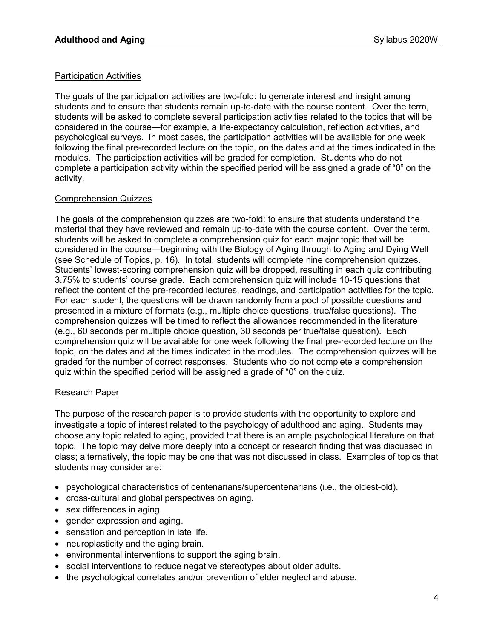### Participation Activities

The goals of the participation activities are two-fold: to generate interest and insight among students and to ensure that students remain up-to-date with the course content. Over the term, students will be asked to complete several participation activities related to the topics that will be considered in the course—for example, a life-expectancy calculation, reflection activities, and psychological surveys. In most cases, the participation activities will be available for one week following the final pre-recorded lecture on the topic, on the dates and at the times indicated in the modules. The participation activities will be graded for completion. Students who do not complete a participation activity within the specified period will be assigned a grade of "0" on the activity.

### Comprehension Quizzes

The goals of the comprehension quizzes are two-fold: to ensure that students understand the material that they have reviewed and remain up-to-date with the course content. Over the term, students will be asked to complete a comprehension quiz for each major topic that will be considered in the course—beginning with the Biology of Aging through to Aging and Dying Well (see Schedule of Topics, p. 16). In total, students will complete nine comprehension quizzes. Students' lowest-scoring comprehension quiz will be dropped, resulting in each quiz contributing 3.75% to students' course grade. Each comprehension quiz will include 10-15 questions that reflect the content of the pre-recorded lectures, readings, and participation activities for the topic. For each student, the questions will be drawn randomly from a pool of possible questions and presented in a mixture of formats (e.g., multiple choice questions, true/false questions). The comprehension quizzes will be timed to reflect the allowances recommended in the literature (e.g., 60 seconds per multiple choice question, 30 seconds per true/false question). Each comprehension quiz will be available for one week following the final pre-recorded lecture on the topic, on the dates and at the times indicated in the modules. The comprehension quizzes will be graded for the number of correct responses. Students who do not complete a comprehension quiz within the specified period will be assigned a grade of "0" on the quiz.

#### Research Paper

The purpose of the research paper is to provide students with the opportunity to explore and investigate a topic of interest related to the psychology of adulthood and aging. Students may choose any topic related to aging, provided that there is an ample psychological literature on that topic. The topic may delve more deeply into a concept or research finding that was discussed in class; alternatively, the topic may be one that was not discussed in class. Examples of topics that students may consider are:

- psychological characteristics of centenarians/supercentenarians (i.e., the oldest-old).
- cross-cultural and global perspectives on aging.
- sex differences in aging.
- gender expression and aging.
- sensation and perception in late life.
- neuroplasticity and the aging brain.
- environmental interventions to support the aging brain.
- social interventions to reduce negative stereotypes about older adults.
- the psychological correlates and/or prevention of elder neglect and abuse.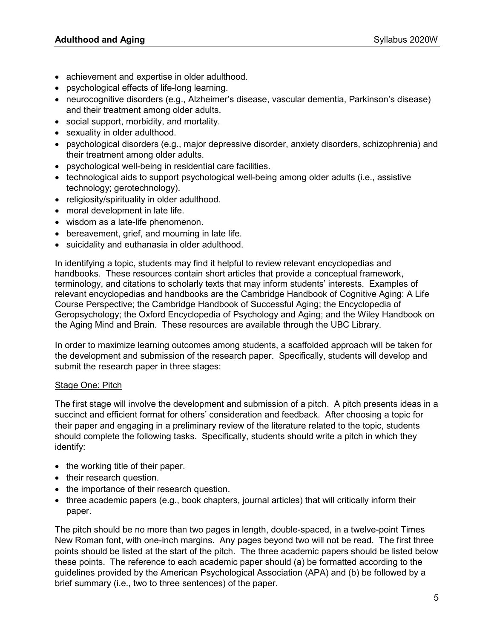- achievement and expertise in older adulthood.
- psychological effects of life-long learning.
- neurocognitive disorders (e.g., Alzheimer's disease, vascular dementia, Parkinson's disease) and their treatment among older adults.
- social support, morbidity, and mortality.
- sexuality in older adulthood.
- psychological disorders (e.g., major depressive disorder, anxiety disorders, schizophrenia) and their treatment among older adults.
- psychological well-being in residential care facilities.
- technological aids to support psychological well-being among older adults (i.e., assistive technology; gerotechnology).
- religiosity/spirituality in older adulthood.
- moral development in late life.
- wisdom as a late-life phenomenon.
- bereavement, grief, and mourning in late life.
- suicidality and euthanasia in older adulthood.

In identifying a topic, students may find it helpful to review relevant encyclopedias and handbooks. These resources contain short articles that provide a conceptual framework, terminology, and citations to scholarly texts that may inform students' interests. Examples of relevant encyclopedias and handbooks are the Cambridge Handbook of Cognitive Aging: A Life Course Perspective; the Cambridge Handbook of Successful Aging; the Encyclopedia of Geropsychology; the Oxford Encyclopedia of Psychology and Aging; and the Wiley Handbook on the Aging Mind and Brain. These resources are available through the UBC Library.

In order to maximize learning outcomes among students, a scaffolded approach will be taken for the development and submission of the research paper. Specifically, students will develop and submit the research paper in three stages:

#### **Stage One: Pitch**

The first stage will involve the development and submission of a pitch. A pitch presents ideas in a succinct and efficient format for others' consideration and feedback. After choosing a topic for their paper and engaging in a preliminary review of the literature related to the topic, students should complete the following tasks. Specifically, students should write a pitch in which they identify:

- the working title of their paper.
- their research question.
- the importance of their research question.
- three academic papers (e.g., book chapters, journal articles) that will critically inform their paper.

The pitch should be no more than two pages in length, double-spaced, in a twelve-point Times New Roman font, with one-inch margins. Any pages beyond two will not be read. The first three points should be listed at the start of the pitch. The three academic papers should be listed below these points. The reference to each academic paper should (a) be formatted according to the guidelines provided by the American Psychological Association (APA) and (b) be followed by a brief summary (i.e., two to three sentences) of the paper.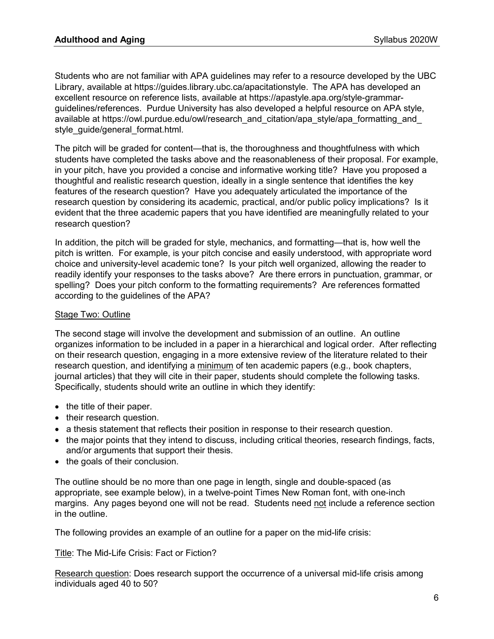Students who are not familiar with APA guidelines may refer to a resource developed by the UBC Library, available at [https://guides.library.ubc.ca/apacitationstyle.](https://guides.library.ubc.ca/apacitationstyle) The APA has developed an excellent resource on reference lists, available at https://apastyle.apa.org/style-grammarguidelines/references. Purdue University has also developed a helpful resource on APA style, available at https://owl.purdue.edu/owl/research\_and\_citation/apa\_style/apa\_formatting\_and style\_quide/general\_format.html.

The pitch will be graded for content—that is, the thoroughness and thoughtfulness with which students have completed the tasks above and the reasonableness of their proposal. For example, in your pitch, have you provided a concise and informative working title? Have you proposed a thoughtful and realistic research question, ideally in a single sentence that identifies the key features of the research question? Have you adequately articulated the importance of the research question by considering its academic, practical, and/or public policy implications? Is it evident that the three academic papers that you have identified are meaningfully related to your research question?

In addition, the pitch will be graded for style, mechanics, and formatting—that is, how well the pitch is written. For example, is your pitch concise and easily understood, with appropriate word choice and university-level academic tone? Is your pitch well organized, allowing the reader to readily identify your responses to the tasks above? Are there errors in punctuation, grammar, or spelling? Does your pitch conform to the formatting requirements? Are references formatted according to the guidelines of the APA?

### Stage Two: Outline

The second stage will involve the development and submission of an outline. An outline organizes information to be included in a paper in a hierarchical and logical order. After reflecting on their research question, engaging in a more extensive review of the literature related to their research question, and identifying a minimum of ten academic papers (e.g., book chapters, journal articles) that they will cite in their paper, students should complete the following tasks. Specifically, students should write an outline in which they identify:

- the title of their paper.
- their research question.
- a thesis statement that reflects their position in response to their research question.
- the major points that they intend to discuss, including critical theories, research findings, facts, and/or arguments that support their thesis.
- the goals of their conclusion.

The outline should be no more than one page in length, single and double-spaced (as appropriate, see example below), in a twelve-point Times New Roman font, with one-inch margins. Any pages beyond one will not be read. Students need not include a reference section in the outline.

The following provides an example of an outline for a paper on the mid-life crisis:

Title: The Mid-Life Crisis: Fact or Fiction?

Research question: Does research support the occurrence of a universal mid-life crisis among individuals aged 40 to 50?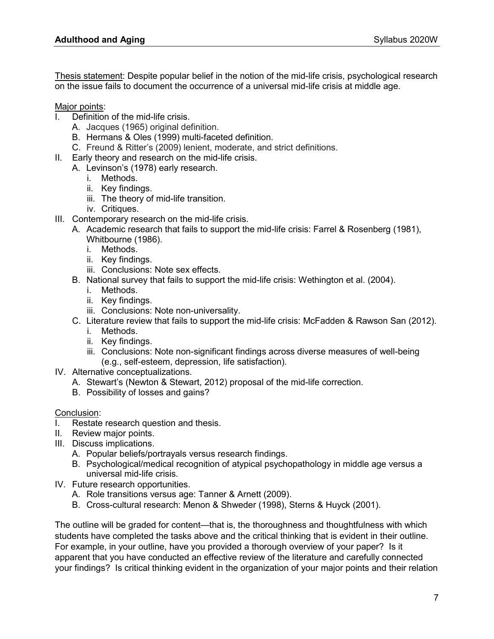Thesis statement: Despite popular belief in the notion of the mid-life crisis, psychological research on the issue fails to document the occurrence of a universal mid-life crisis at middle age.

Major points:

- Definition of the mid-life crisis.
	- A. Jacques (1965) original definition.
	- B. Hermans & Oles (1999) multi-faceted definition.
	- C. Freund & Ritter's (2009) lenient, moderate, and strict definitions.
- II. Early theory and research on the mid-life crisis.
	- A. Levinson's (1978) early research.
		- i. Methods.
		- ii. Key findings.
		- iii. The theory of mid-life transition.
		- iv. Critiques.
- III. Contemporary research on the mid-life crisis.
	- A. Academic research that fails to support the mid-life crisis: Farrel & Rosenberg (1981), Whitbourne (1986).
		- i. Methods.
		- ii. Key findings.
		- iii. Conclusions: Note sex effects.
	- B. National survey that fails to support the mid-life crisis: Wethington et al. (2004).
		- i. Methods.
		- ii. Key findings.
		- iii. Conclusions: Note non-universality.
	- C. Literature review that fails to support the mid-life crisis: McFadden & Rawson San (2012).
		- i. Methods.
		- ii. Key findings.
		- iii. Conclusions: Note non-significant findings across diverse measures of well-being (e.g., self-esteem, depression, life satisfaction).
- IV. Alternative conceptualizations.
	- A. Stewart's (Newton & Stewart, 2012) proposal of the mid-life correction.
	- B. Possibility of losses and gains?

#### Conclusion:

- I. Restate research question and thesis.
- II. Review major points.
- III. Discuss implications.
	- A. Popular beliefs/portrayals versus research findings.
	- B. Psychological/medical recognition of atypical psychopathology in middle age versus a universal mid-life crisis.
- IV. Future research opportunities.
	- A. Role transitions versus age: Tanner & Arnett (2009).
	- B. Cross-cultural research: Menon & Shweder (1998), Sterns & Huyck (2001).

The outline will be graded for content—that is, the thoroughness and thoughtfulness with which students have completed the tasks above and the critical thinking that is evident in their outline. For example, in your outline, have you provided a thorough overview of your paper? Is it apparent that you have conducted an effective review of the literature and carefully connected your findings? Is critical thinking evident in the organization of your major points and their relation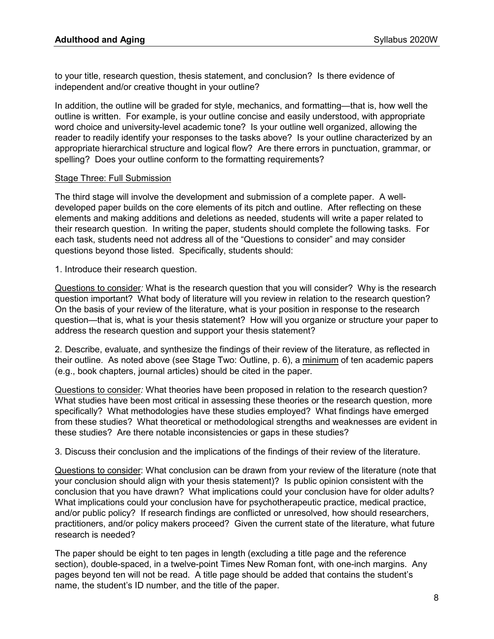to your title, research question, thesis statement, and conclusion? Is there evidence of independent and/or creative thought in your outline?

In addition, the outline will be graded for style, mechanics, and formatting—that is, how well the outline is written. For example, is your outline concise and easily understood, with appropriate word choice and university-level academic tone? Is your outline well organized, allowing the reader to readily identify your responses to the tasks above? Is your outline characterized by an appropriate hierarchical structure and logical flow? Are there errors in punctuation, grammar, or spelling? Does your outline conform to the formatting requirements?

#### Stage Three: Full Submission

The third stage will involve the development and submission of a complete paper. A welldeveloped paper builds on the core elements of its pitch and outline. After reflecting on these elements and making additions and deletions as needed, students will write a paper related to their research question. In writing the paper, students should complete the following tasks. For each task, students need not address all of the "Questions to consider" and may consider questions beyond those listed. Specifically, students should:

1. Introduce their research question.

Questions to consider*:* What is the research question that you will consider? Why is the research question important? What body of literature will you review in relation to the research question? On the basis of your review of the literature, what is your position in response to the research question—that is, what is your thesis statement? How will you organize or structure your paper to address the research question and support your thesis statement?

2. Describe, evaluate, and synthesize the findings of their review of the literature, as reflected in their outline. As noted above (see Stage Two: Outline, p. 6), a minimum of ten academic papers (e.g., book chapters, journal articles) should be cited in the paper.

Questions to consider*:* What theories have been proposed in relation to the research question? What studies have been most critical in assessing these theories or the research question, more specifically? What methodologies have these studies employed? What findings have emerged from these studies? What theoretical or methodological strengths and weaknesses are evident in these studies? Are there notable inconsistencies or gaps in these studies?

3. Discuss their conclusion and the implications of the findings of their review of the literature.

Questions to consider: What conclusion can be drawn from your review of the literature (note that your conclusion should align with your thesis statement)? Is public opinion consistent with the conclusion that you have drawn? What implications could your conclusion have for older adults? What implications could your conclusion have for psychotherapeutic practice, medical practice, and/or public policy? If research findings are conflicted or unresolved, how should researchers, practitioners, and/or policy makers proceed? Given the current state of the literature, what future research is needed?

The paper should be eight to ten pages in length (excluding a title page and the reference section), double-spaced, in a twelve-point Times New Roman font, with one-inch margins. Any pages beyond ten will not be read. A title page should be added that contains the student's name, the student's ID number, and the title of the paper.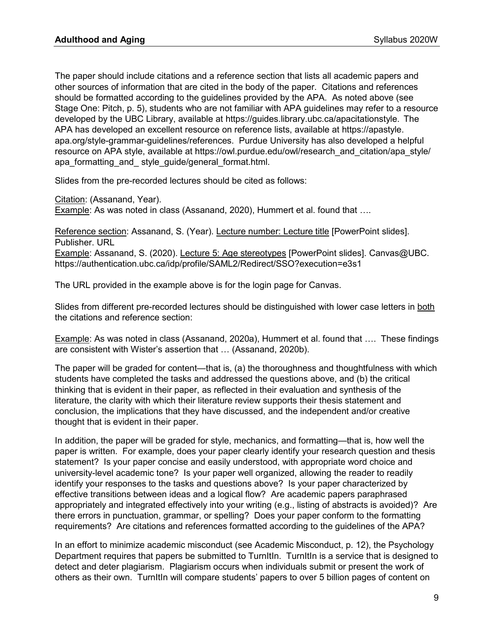The paper should include citations and a reference section that lists all academic papers and other sources of information that are cited in the body of the paper. Citations and references should be formatted according to the guidelines provided by the APA. As noted above (see Stage One: Pitch, p. 5), students who are not familiar with APA guidelines may refer to a resource developed by the UBC Library, available at [https://guides.library.ubc.ca/apacitationstyle.](https://guides.library.ubc.ca/apacitationstyle) The APA has developed an excellent resource on reference lists, available at https://apastyle. apa.org/style-grammar-guidelines/references. Purdue University has also developed a helpful resource on APA style, available at https://owl.purdue.edu/owl/research\_and\_citation/apa\_style/ apa\_formatting\_and\_ style\_guide/general\_format.html.

Slides from the pre-recorded lectures should be cited as follows:

Citation: (Assanand, Year).

Example: As was noted in class (Assanand, 2020), Hummert et al. found that ….

Reference section: Assanand, S. (Year). Lecture number: Lecture title [PowerPoint slides]. Publisher. URL Example: Assanand, S. (2020). Lecture 5: Age stereotypes [PowerPoint slides]. Canvas@UBC. https://authentication.ubc.ca/idp/profile/SAML2/Redirect/SSO?execution=e3s1

The URL provided in the example above is for the login page for Canvas.

Slides from different pre-recorded lectures should be distinguished with lower case letters in both the citations and reference section:

Example: As was noted in class (Assanand, 2020a), Hummert et al. found that …. These findings are consistent with Wister's assertion that … (Assanand, 2020b).

The paper will be graded for content—that is, (a) the thoroughness and thoughtfulness with which students have completed the tasks and addressed the questions above, and (b) the critical thinking that is evident in their paper, as reflected in their evaluation and synthesis of the literature, the clarity with which their literature review supports their thesis statement and conclusion, the implications that they have discussed, and the independent and/or creative thought that is evident in their paper.

In addition, the paper will be graded for style, mechanics, and formatting—that is, how well the paper is written. For example, does your paper clearly identify your research question and thesis statement? Is your paper concise and easily understood, with appropriate word choice and university-level academic tone? Is your paper well organized, allowing the reader to readily identify your responses to the tasks and questions above? Is your paper characterized by effective transitions between ideas and a logical flow? Are academic papers paraphrased appropriately and integrated effectively into your writing (e.g., listing of abstracts is avoided)? Are there errors in punctuation, grammar, or spelling? Does your paper conform to the formatting requirements? Are citations and references formatted according to the guidelines of the APA?

In an effort to minimize academic misconduct (see Academic Misconduct, p. 12), the Psychology Department requires that papers be submitted to TurnItIn. TurnItIn is a service that is designed to detect and deter plagiarism. Plagiarism occurs when individuals submit or present the work of others as their own. TurnItIn will compare students' papers to over 5 billion pages of content on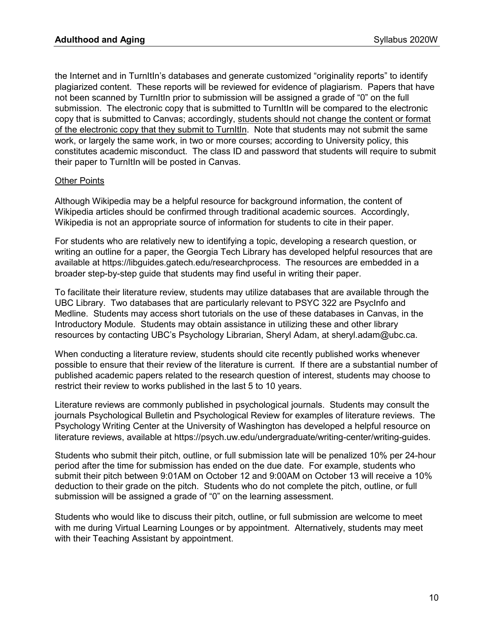the Internet and in TurnItIn's databases and generate customized "originality reports" to identify plagiarized content. These reports will be reviewed for evidence of plagiarism. Papers that have not been scanned by TurnItIn prior to submission will be assigned a grade of "0" on the full submission. The electronic copy that is submitted to TurnItIn will be compared to the electronic copy that is submitted to Canvas; accordingly, students should not change the content or format of the electronic copy that they submit to TurnItIn. Note that students may not submit the same work, or largely the same work, in two or more courses; according to University policy, this constitutes academic misconduct. The class ID and password that students will require to submit their paper to TurnItIn will be posted in Canvas.

#### **Other Points**

Although Wikipedia may be a helpful resource for background information, the content of Wikipedia articles should be confirmed through traditional academic sources. Accordingly, Wikipedia is not an appropriate source of information for students to cite in their paper.

For students who are relatively new to identifying a topic, developing a research question, or writing an outline for a paper, the Georgia Tech Library has developed helpful resources that are available at https://libguides.gatech.edu/researchprocess. The resources are embedded in a broader step-by-step guide that students may find useful in writing their paper.

To facilitate their literature review, students may utilize databases that are available through the UBC Library. Two databases that are particularly relevant to PSYC 322 are PsycInfo and Medline. Students may access short tutorials on the use of these databases in Canvas, in the Introductory Module. Students may obtain assistance in utilizing these and other library resources by contacting UBC's Psychology Librarian, Sheryl Adam, at [sheryl.adam@ubc.ca.](https://directory.library.ubc.ca/people/email/1009)

When conducting a literature review, students should cite recently published works whenever possible to ensure that their review of the literature is current. If there are a substantial number of published academic papers related to the research question of interest, students may choose to restrict their review to works published in the last 5 to 10 years.

Literature reviews are commonly published in psychological journals. Students may consult the journals Psychological Bulletin and Psychological Review for examples of literature reviews. The Psychology Writing Center at the University of Washington has developed a helpful resource on literature reviews, available at [https://psych.uw.edu/undergraduate/writing-center/writing-guides.](https://psych.uw.edu/undergraduate/writing-center/writing-guides)

Students who submit their pitch, outline, or full submission late will be penalized 10% per 24-hour period after the time for submission has ended on the due date. For example, students who submit their pitch between 9:01AM on October 12 and 9:00AM on October 13 will receive a 10% deduction to their grade on the pitch. Students who do not complete the pitch, outline, or full submission will be assigned a grade of "0" on the learning assessment.

Students who would like to discuss their pitch, outline, or full submission are welcome to meet with me during Virtual Learning Lounges or by appointment. Alternatively, students may meet with their Teaching Assistant by appointment.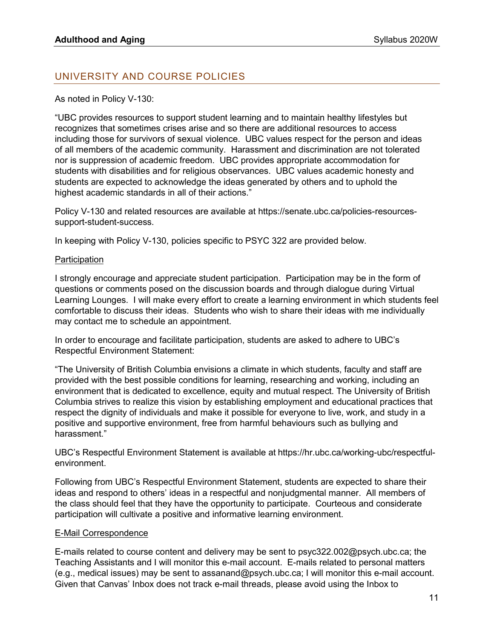# UNIVERSITY AND COURSE POLICIES

### As noted in Policy V-130:

"UBC provides resources to support student learning and to maintain healthy lifestyles but recognizes that sometimes crises arise and so there are additional resources to access including those for survivors of sexual violence. UBC values respect for the person and ideas of all members of the academic community. Harassment and discrimination are not tolerated nor is suppression of academic freedom. UBC provides appropriate accommodation for students with disabilities and for religious observances. UBC values academic honesty and students are expected to acknowledge the ideas generated by others and to uphold the highest academic standards in all of their actions."

Policy V-130 and related resources are available at https://senate.ubc.ca/policies-resourcessupport-student-success.

In keeping with Policy V-130, policies specific to PSYC 322 are provided below.

#### **Participation**

I strongly encourage and appreciate student participation. Participation may be in the form of questions or comments posed on the discussion boards and through dialogue during Virtual Learning Lounges. I will make every effort to create a learning environment in which students feel comfortable to discuss their ideas. Students who wish to share their ideas with me individually may contact me to schedule an appointment.

In order to encourage and facilitate participation, students are asked to adhere to UBC's Respectful Environment Statement:

"The University of British Columbia envisions a climate in which students, faculty and staff are provided with the best possible conditions for learning, researching and working, including an environment that is dedicated to excellence, equity and mutual respect. The University of British Columbia strives to realize this vision by establishing employment and educational practices that respect the dignity of individuals and make it possible for everyone to live, work, and study in a positive and supportive environment, free from harmful behaviours such as bullying and harassment."

UBC's Respectful Environment Statement is available at https://hr.ubc.ca/working-ubc/respectfulenvironment.

Following from UBC's Respectful Environment Statement, students are expected to share their ideas and respond to others' ideas in a respectful and nonjudgmental manner. All members of the class should feel that they have the opportunity to participate. Courteous and considerate participation will cultivate a positive and informative learning environment.

#### E-Mail Correspondence

E-mails related to course content and delivery may be sent to [psyc322.002@psych.ubc.ca;](mailto:psyc322.001@psych.ubc.ca) the Teaching Assistants and I will monitor this e-mail account. E-mails related to personal matters (e.g., medical issues) may be sent to assanand@psych.ubc.ca; I will monitor this e-mail account. Given that Canvas' Inbox does not track e-mail threads, please avoid using the Inbox to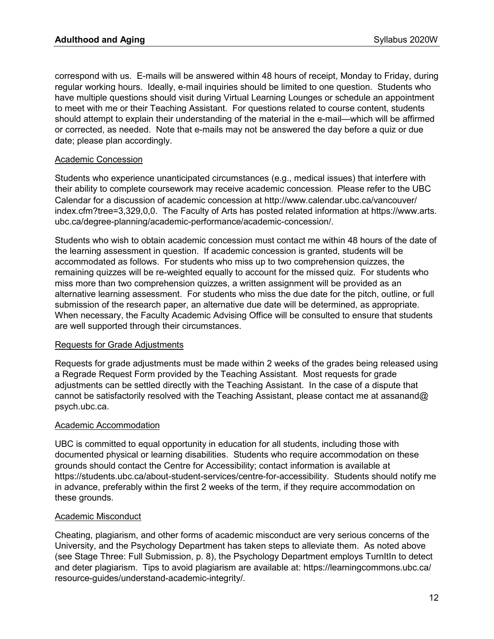correspond with us. E-mails will be answered within 48 hours of receipt, Monday to Friday, during regular working hours. Ideally, e-mail inquiries should be limited to one question. Students who have multiple questions should visit during Virtual Learning Lounges or schedule an appointment to meet with me or their Teaching Assistant. For questions related to course content, students should attempt to explain their understanding of the material in the e-mail—which will be affirmed or corrected, as needed. Note that e-mails may not be answered the day before a quiz or due date; please plan accordingly.

### Academic Concession

Students who experience unanticipated circumstances (e.g., medical issues) that interfere with their ability to complete coursework may receive academic concession. Please refer to the UBC Calendar for a discussion of academic concession at http://www.calendar.ubc.ca/vancouver/ index.cfm?tree=3,329,0,0. The Faculty of Arts has posted related information at https://www.arts. ubc.ca/degree-planning/academic-performance/academic-concession/.

Students who wish to obtain academic concession must contact me within 48 hours of the date of the learning assessment in question. If academic concession is granted, students will be accommodated as follows. For students who miss up to two comprehension quizzes, the remaining quizzes will be re-weighted equally to account for the missed quiz. For students who miss more than two comprehension quizzes, a written assignment will be provided as an alternative learning assessment. For students who miss the due date for the pitch, outline, or full submission of the research paper, an alternative due date will be determined, as appropriate. When necessary, the Faculty Academic Advising Office will be consulted to ensure that students are well supported through their circumstances.

### Requests for Grade Adjustments

Requests for grade adjustments must be made within 2 weeks of the grades being released using a Regrade Request Form provided by the Teaching Assistant. Most requests for grade adjustments can be settled directly with the Teaching Assistant. In the case of a dispute that cannot be satisfactorily resolved with the Teaching Assistant, please contact me at assanand@ psych.ubc.ca.

### Academic Accommodation

UBC is committed to equal opportunity in education for all students, including those with documented physical or learning disabilities. Students who require accommodation on these grounds should contact the Centre for Accessibility; contact information is available at https://students.ubc.ca/about-student-services/centre-for-accessibility. Students should notify me in advance, preferably within the first 2 weeks of the term, if they require accommodation on these grounds.

#### Academic Misconduct

Cheating, plagiarism, and other forms of academic misconduct are very serious concerns of the University, and the Psychology Department has taken steps to alleviate them. As noted above (see Stage Three: Full Submission, p. 8), the Psychology Department employs TurnItIn to detect and deter plagiarism. Tips to avoid plagiarism are available at: https://learningcommons.ubc.ca/ resource-guides/understand-academic-integrity/.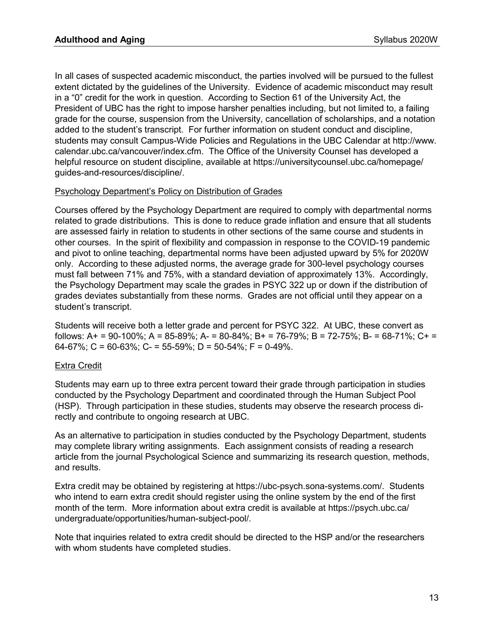In all cases of suspected academic misconduct, the parties involved will be pursued to the fullest extent dictated by the guidelines of the University. Evidence of academic misconduct may result in a "0" credit for the work in question. According to Section 61 of the University Act, the President of UBC has the right to impose harsher penalties including, but not limited to, a failing grade for the course, suspension from the University, cancellation of scholarships, and a notation added to the student's transcript. For further information on student conduct and discipline, students may consult Campus-Wide Policies and Regulations in the UBC Calendar at http://www. calendar.ubc.ca/vancouver/index.cfm. The Office of the University Counsel has developed a helpful resource on student discipline, available at https://universitycounsel.ubc.ca/homepage/ guides-and-resources/discipline/.

### Psychology Department's Policy on Distribution of Grades

Courses offered by the Psychology Department are required to comply with departmental norms related to grade distributions. This is done to reduce grade inflation and ensure that all students are assessed fairly in relation to students in other sections of the same course and students in other courses. In the spirit of flexibility and compassion in response to the COVID-19 pandemic and pivot to online teaching, departmental norms have been adjusted upward by 5% for 2020W only. According to these adjusted norms, the average grade for 300-level psychology courses must fall between 71% and 75%, with a standard deviation of approximately 13%. Accordingly, the Psychology Department may scale the grades in PSYC 322 up or down if the distribution of grades deviates substantially from these norms. Grades are not official until they appear on a student's transcript.

Students will receive both a letter grade and percent for PSYC 322. At UBC, these convert as follows: A+ = 90-100%; A = 85-89%; A- = 80-84%; B+ = 76-79%; B = 72-75%; B- = 68-71%; C+ = 64-67%; C = 60-63%; C- = 55-59%; D = 50-54%; F = 0-49%.

### Extra Credit

Students may earn up to three extra percent toward their grade through participation in studies conducted by the Psychology Department and coordinated through the Human Subject Pool (HSP). Through participation in these studies, students may observe the research process directly and contribute to ongoing research at UBC.

As an alternative to participation in studies conducted by the Psychology Department, students may complete library writing assignments. Each assignment consists of reading a research article from the journal Psychological Science and summarizing its research question, methods, and results.

Extra credit may be obtained by registering at [https://ubc-psych.sona-systems.com/.](https://ubc-psych.sona-systems.com/) Students who intend to earn extra credit should register using the online system by the end of the first month of the term. More information about extra credit is available at https://psych.ubc.ca/ undergraduate/opportunities/human-subject-pool/.

Note that inquiries related to extra credit should be directed to the HSP and/or the researchers with whom students have completed studies.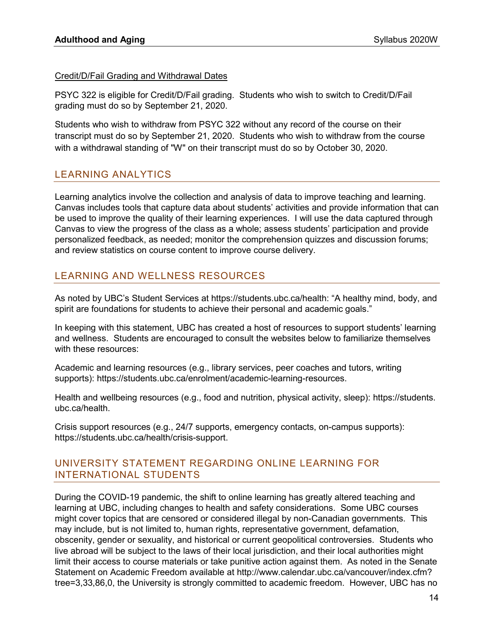### Credit/D/Fail Grading and Withdrawal Dates

PSYC 322 is eligible for Credit/D/Fail grading. Students who wish to switch to Credit/D/Fail grading must do so by September 21, 2020.

Students who wish to withdraw from PSYC 322 without any record of the course on their transcript must do so by September 21, 2020. Students who wish to withdraw from the course with a withdrawal standing of "W" on their transcript must do so by October 30, 2020.

# LEARNING ANALYTICS

Learning analytics involve the collection and analysis of data to improve teaching and learning. Canvas includes tools that capture data about students' activities and provide information that can be used to improve the quality of their learning experiences. I will use the data captured through Canvas to view the progress of the class as a whole; assess students' participation and provide personalized feedback, as needed; monitor the comprehension quizzes and discussion forums; and review statistics on course content to improve course delivery.

# LEARNING AND WELLNESS RESOURCES

As noted by UBC's Student Services at https://students.ubc.ca/health: "A healthy mind, body, and spirit are foundations for students to achieve their personal and academic goals."

In keeping with this statement, UBC has created a host of resources to support students' learning and wellness. Students are encouraged to consult the websites below to familiarize themselves with these resources:

Academic and learning resources (e.g., library services, peer coaches and tutors, writing supports): https://students.ubc.ca/enrolment/academic-learning-resources.

Health and wellbeing resources (e.g., food and nutrition, physical activity, sleep): https://students. ubc.ca/health.

Crisis support resources (e.g., 24/7 supports, emergency contacts, on-campus supports): https://students.ubc.ca/health/crisis-support.

### UNIVERSITY STATEMENT REGARDING ONLINE LEARNING FOR INTERNATIONAL STUDENTS

During the COVID-19 pandemic, the shift to online learning has greatly altered teaching and learning at UBC, including changes to health and safety considerations. Some UBC courses might cover topics that are censored or considered illegal by non-Canadian governments. This may include, but is not limited to, human rights, representative government, defamation, obscenity, gender or sexuality, and historical or current geopolitical controversies. Students who live abroad will be subject to the laws of their local jurisdiction, and their local authorities might limit their access to course materials or take punitive action against them. As noted in the Senate Statement on Academic Freedom available at http://www.calendar.ubc.ca/vancouver/index.cfm? tree=3,33,86,0, the University is strongly committed to academic freedom. However, UBC has no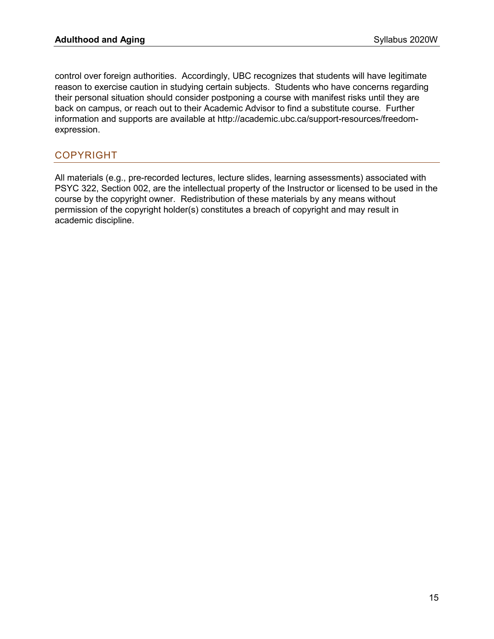control over foreign authorities. Accordingly, UBC recognizes that students will have legitimate reason to exercise caution in studying certain subjects. Students who have concerns regarding their personal situation should consider postponing a course with manifest risks until they are back on campus, or reach out to their Academic Advisor to find a substitute course. Further information and supports are available at [http://academic.ubc.ca/support-resources/freedom](http://academic.ubc.ca/support-resources/freedom-expression)[expression.](http://academic.ubc.ca/support-resources/freedom-expression)

# COPYRIGHT

All materials (e.g., pre-recorded lectures, lecture slides, learning assessments) associated with PSYC 322, Section 002, are the intellectual property of the Instructor or licensed to be used in the course by the copyright owner. Redistribution of these materials by any means without permission of the copyright holder(s) constitutes a breach of copyright and may result in academic discipline.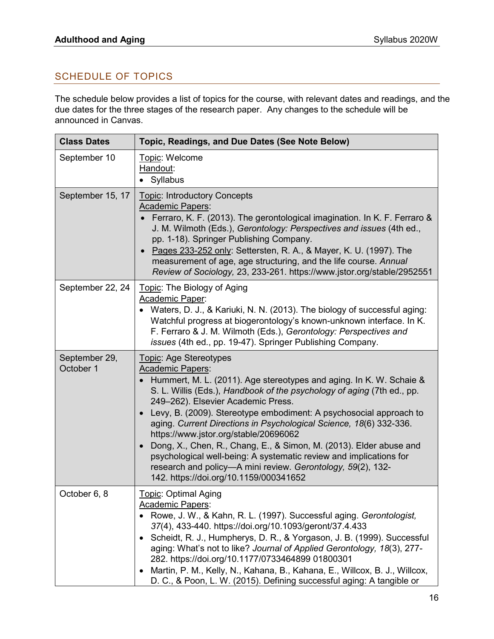# SCHEDULE OF TOPICS

The schedule below provides a list of topics for the course, with relevant dates and readings, and the due dates for the three stages of the research paper. Any changes to the schedule will be announced in Canvas.

| <b>Class Dates</b>         | Topic, Readings, and Due Dates (See Note Below)                                                                                                                                                                                                                                                                                                                                                                                                                                                                                                                                                                                                                                    |
|----------------------------|------------------------------------------------------------------------------------------------------------------------------------------------------------------------------------------------------------------------------------------------------------------------------------------------------------------------------------------------------------------------------------------------------------------------------------------------------------------------------------------------------------------------------------------------------------------------------------------------------------------------------------------------------------------------------------|
| September 10               | Topic: Welcome<br>Handout:<br>• Syllabus                                                                                                                                                                                                                                                                                                                                                                                                                                                                                                                                                                                                                                           |
| September 15, 17           | <b>Topic: Introductory Concepts</b><br><b>Academic Papers:</b><br>Ferraro, K. F. (2013). The gerontological imagination. In K. F. Ferraro &<br>J. M. Wilmoth (Eds.), Gerontology: Perspectives and issues (4th ed.,<br>pp. 1-18). Springer Publishing Company.<br>Pages 233-252 only: Settersten, R. A., & Mayer, K. U. (1997). The<br>measurement of age, age structuring, and the life course. Annual<br>Review of Sociology, 23, 233-261. https://www.jstor.org/stable/2952551                                                                                                                                                                                                  |
| September 22, 24           | Topic: The Biology of Aging<br>Academic Paper:<br>Waters, D. J., & Kariuki, N. N. (2013). The biology of successful aging:<br>Watchful progress at biogerontology's known-unknown interface. In K.<br>F. Ferraro & J. M. Wilmoth (Eds.), Gerontology: Perspectives and<br>issues (4th ed., pp. 19-47). Springer Publishing Company.                                                                                                                                                                                                                                                                                                                                                |
| September 29,<br>October 1 | Topic: Age Stereotypes<br><b>Academic Papers:</b><br>Hummert, M. L. (2011). Age stereotypes and aging. In K. W. Schaie &<br>S. L. Willis (Eds.), Handbook of the psychology of aging (7th ed., pp.<br>249-262). Elsevier Academic Press.<br>Levy, B. (2009). Stereotype embodiment: A psychosocial approach to<br>aging. Current Directions in Psychological Science, 18(6) 332-336.<br>https://www.jstor.org/stable/20696062<br>Dong, X., Chen, R., Chang, E., & Simon, M. (2013). Elder abuse and<br>psychological well-being: A systematic review and implications for<br>research and policy-A mini review. Gerontology, 59(2), 132-<br>142. https://doi.org/10.1159/000341652 |
| October 6, 8               | Topic: Optimal Aging<br><b>Academic Papers:</b><br>Rowe, J. W., & Kahn, R. L. (1997). Successful aging. Gerontologist,<br>37(4), 433-440. https://doi.org/10.1093/geront/37.4.433<br>Scheidt, R. J., Humpherys, D. R., & Yorgason, J. B. (1999). Successful<br>aging: What's not to like? Journal of Applied Gerontology, 18(3), 277-<br>282. https://doi.org/10.1177/0733464899 01800301<br>Martin, P. M., Kelly, N., Kahana, B., Kahana, E., Willcox, B. J., Willcox,<br>D. C., & Poon, L. W. (2015). Defining successful aging: A tangible or                                                                                                                                   |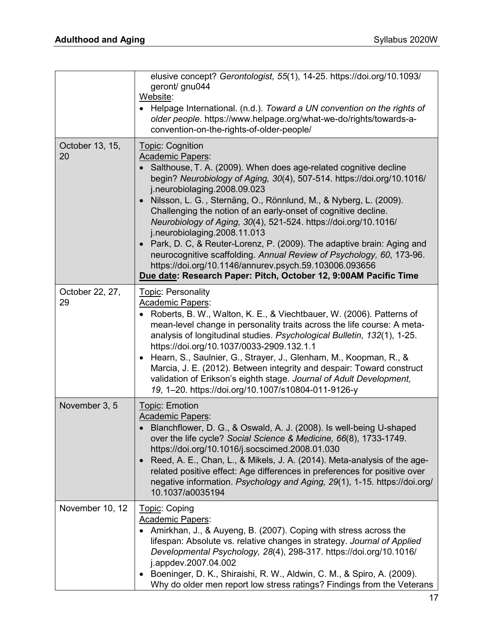|                       | elusive concept? Gerontologist, 55(1), 14-25. https://doi.org/10.1093/<br>geront/ gnu044<br>Website:<br>• Helpage International. (n.d.). Toward a UN convention on the rights of<br>older people. https://www.helpage.org/what-we-do/rights/towards-a-<br>convention-on-the-rights-of-older-people/                                                                                                                                                                                                                                                                                                                                                                                                                                                 |
|-----------------------|-----------------------------------------------------------------------------------------------------------------------------------------------------------------------------------------------------------------------------------------------------------------------------------------------------------------------------------------------------------------------------------------------------------------------------------------------------------------------------------------------------------------------------------------------------------------------------------------------------------------------------------------------------------------------------------------------------------------------------------------------------|
| October 13, 15,<br>20 | Topic: Cognition<br><b>Academic Papers:</b><br>Salthouse, T. A. (2009). When does age-related cognitive decline<br>begin? Neurobiology of Aging, 30(4), 507-514. https://doi.org/10.1016/<br>j.neurobiolaging.2008.09.023<br>Nilsson, L. G., Sternäng, O., Rönnlund, M., & Nyberg, L. (2009).<br>Challenging the notion of an early-onset of cognitive decline.<br>Neurobiology of Aging, 30(4), 521-524. https://doi.org/10.1016/<br>j.neurobiolaging.2008.11.013<br>• Park, D. C, & Reuter-Lorenz, P. (2009). The adaptive brain: Aging and<br>neurocognitive scaffolding. Annual Review of Psychology, 60, 173-96.<br>https://doi.org/10.1146/annurev.psych.59.103006.093656<br>Due date: Research Paper: Pitch, October 12, 9:00AM Pacific Time |
| October 22, 27,<br>29 | <b>Topic: Personality</b><br><b>Academic Papers:</b><br>Roberts, B. W., Walton, K. E., & Viechtbauer, W. (2006). Patterns of<br>mean-level change in personality traits across the life course: A meta-<br>analysis of longitudinal studies. Psychological Bulletin, 132(1), 1-25.<br>https://doi.org/10.1037/0033-2909.132.1.1<br>Hearn, S., Saulnier, G., Strayer, J., Glenham, M., Koopman, R., &<br>Marcia, J. E. (2012). Between integrity and despair: Toward construct<br>validation of Erikson's eighth stage. Journal of Adult Development,<br>19, 1-20. https://doi.org/10.1007/s10804-011-9126-y                                                                                                                                         |
| November 3, 5         | Topic: Emotion<br><b>Academic Papers:</b><br>Blanchflower, D. G., & Oswald, A. J. (2008). Is well-being U-shaped<br>over the life cycle? Social Science & Medicine, 66(8), 1733-1749.<br>https://doi.org/10.1016/j.socscimed.2008.01.030<br>Reed, A. E., Chan, L., & Mikels, J. A. (2014). Meta-analysis of the age-<br>related positive effect: Age differences in preferences for positive over<br>negative information. Psychology and Aging, 29(1), 1-15. https://doi.org/<br>10.1037/a0035194                                                                                                                                                                                                                                                  |
| November 10, 12       | Topic: Coping<br>Academic Papers:<br>Amirkhan, J., & Auyeng, B. (2007). Coping with stress across the<br>lifespan: Absolute vs. relative changes in strategy. Journal of Applied<br>Developmental Psychology, 28(4), 298-317. https://doi.org/10.1016/<br>j.appdev.2007.04.002<br>Boeninger, D. K., Shiraishi, R. W., Aldwin, C. M., & Spiro, A. (2009).<br>Why do older men report low stress ratings? Findings from the Veterans                                                                                                                                                                                                                                                                                                                  |